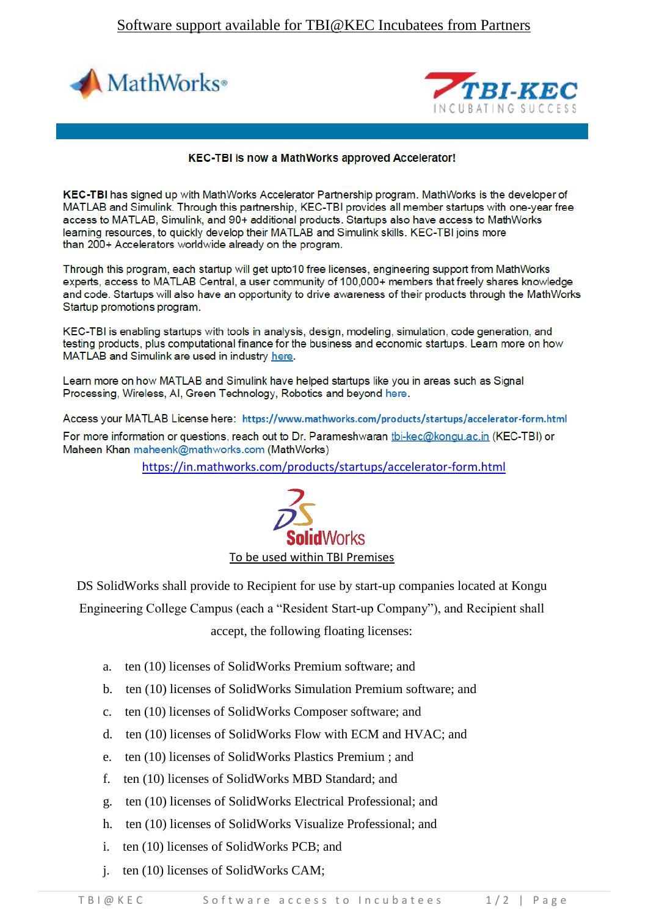



## **KEC-TBI** is now a MathWorks approved Accelerator!

KEC-TBI has signed up with MathWorks Accelerator Partnership program. MathWorks is the developer of MATLAB and Simulink. Through this partnership, KEC-TBI provides all member startups with one-year free access to MATLAB, Simulink, and 90+ additional products. Startups also have access to MathWorks learning resources, to quickly develop their MATLAB and Simulink skills. KEC-TBI joins more than 200+ Accelerators worldwide already on the program.

Through this program, each startup will get upto10 free licenses, engineering support from MathWorks experts, access to MATLAB Central, a user community of 100,000+ members that freely shares knowledge and code. Startups will also have an opportunity to drive awareness of their products through the MathWorks Startup promotions program.

KEC-TBI is enabling startups with tools in analysis, design, modeling, simulation, code generation, and testing products, plus computational finance for the business and economic startups. Learn more on how MATLAB and Simulink are used in industry here.

Learn more on how MATLAB and Simulink have helped startups like you in areas such as Signal Processing, Wireless, AI, Green Technology, Robotics and beyond here.

Access your MATLAB License here: https://www.mathworks.com/products/startups/accelerator-form.html

For more information or questions, reach out to Dr. Parameshwaran tbi-kec@kongu.ac.in (KEC-TBI) or Maheen Khan maheenk@mathworks.com (MathWorks)

<https://in.mathworks.com/products/startups/accelerator-form.html>



DS SolidWorks shall provide to Recipient for use by start-up companies located at Kongu Engineering College Campus (each a "Resident Start-up Company"), and Recipient shall

accept, the following floating licenses:

- a. ten (10) licenses of SolidWorks Premium software; and
- b. ten (10) licenses of SolidWorks Simulation Premium software; and
- c. ten (10) licenses of SolidWorks Composer software; and
- d. ten (10) licenses of SolidWorks Flow with ECM and HVAC; and
- e. ten (10) licenses of SolidWorks Plastics Premium ; and
- f. ten (10) licenses of SolidWorks MBD Standard; and
- g. ten (10) licenses of SolidWorks Electrical Professional; and
- h. ten (10) licenses of SolidWorks Visualize Professional; and
- i. ten (10) licenses of SolidWorks PCB; and
- j. ten (10) licenses of SolidWorks CAM;